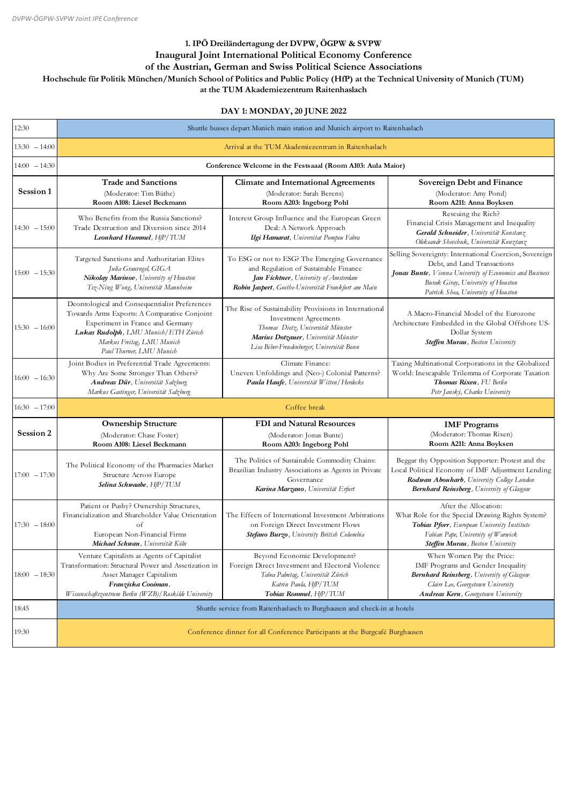| 12:30           | Shuttle busses depart Munich main station and Munich airport to Raitenhaslach                                                                                                                                                        |                                                                                                                                                                                                                   |                                                                                                                                                                                                                                |
|-----------------|--------------------------------------------------------------------------------------------------------------------------------------------------------------------------------------------------------------------------------------|-------------------------------------------------------------------------------------------------------------------------------------------------------------------------------------------------------------------|--------------------------------------------------------------------------------------------------------------------------------------------------------------------------------------------------------------------------------|
| $13:30 - 14:00$ | Arrival at the TUM Akademiezentrum in Raitenhaslach                                                                                                                                                                                  |                                                                                                                                                                                                                   |                                                                                                                                                                                                                                |
| $14:00 - 14:30$ | Conference Welcome in the Festsaaal (Room A103: Aula Maior)                                                                                                                                                                          |                                                                                                                                                                                                                   |                                                                                                                                                                                                                                |
| Session 1       | <b>Trade and Sanctions</b><br>(Moderator: Tim Büthe)<br>Room A108: Liesel Beckmann                                                                                                                                                   | <b>Climate and International Agreements</b><br>(Moderator: Sarah Berens)<br>Room A203: Ingeborg Pohl                                                                                                              | <b>Sovereign Debt and Finance</b><br>(Moderator: Amy Pond)<br>Room A211: Anna Boyksen                                                                                                                                          |
| $14:30 - 15:00$ | Who Benefits from the Russia Sanctions?<br>Trade Destruction and Diversion since 2014<br>Leonhard Hummel, HfP/TUM                                                                                                                    | Interest Group Influence and the European Green<br>Deal: A Network Approach<br>Ilgi Hamarat, Universitat Pompeu Fabra                                                                                             | Rescuing the Rich?<br>Financial Crisis Management and Inequality<br>Gerald Schneider, Universität Konstanz<br>Oleksandr Shevchuk, Universität Konztanz                                                                         |
| $15:00 - 15:30$ | Targeted Sanctions and Authoritarian Elites<br>Julia Grauvogel, GIGA<br>Nikolay Marinov, University of Houston<br>Tsz-Ning Wong, Universität Mannheim                                                                                | To ESG or not to ESG? The Emerging Governance<br>and Regulation of Sustainable Finance<br>Jan Fichtner, University of Amsterdam<br>Robin Jaspert, Goethe-Universität Frankfurt am Main                            | Selling Sovereignty: International Coercion, Sovereign<br>Debt, and Land Transactions<br>Jonas Bunte, Vienna University of Economics and Business<br>Burak Giray, University of Houston<br>Patrick Shea, University of Houston |
| $15:30 - 16:00$ | Deontological and Consequentialist Preferences<br>Towards Arms Exports: A Comparative Conjoint<br>Experiment in France and Germany<br>Lukas Rudolph, LMU Munich/ETH Zürich<br>Markus Freitag, LMU Munich<br>Paul Thurner, LMU Munich | The Rise of Sustainability Provisions in International<br><b>Investment Agreements</b><br>Thomas Dietz, Universität Münster<br>Marius Dotzauer, Universität Münster<br>Lisa Biber-Freudenberger, Universität Bonn | A Macro-Financial Model of the Eurozone<br>Architecture Embedded in the Global Offshore US-<br>Dollar System<br>Steffen Murau, Boston University                                                                               |
| $16:00 - 16:30$ | Joint Bodies in Preferential Trade Agreements:<br>Why Are Some Stronger Than Others?<br>Andreas Dür, Universität Salzburg<br>Markus Gastinger, Universität Salzburg                                                                  | Climate Finance:<br>Uneven Unfoldings and (Neo-) Colonial Patterns?<br>Paula Haufe, Universität Witten/Herdecke                                                                                                   | Taxing Multinational Corporations in the Globalized<br>World: Inescapable Trilemma of Corporate Taxation<br>Thomas Rixen, FU Berlin<br>Petr Janský, Charles University                                                         |
| $16:30 - 17:00$ | Coffee break                                                                                                                                                                                                                         |                                                                                                                                                                                                                   |                                                                                                                                                                                                                                |
| Session 2       | <b>Ownership Structure</b><br>(Moderator: Chase Foster)<br>Room A108: Liesel Beckmann                                                                                                                                                | FDI and Natural Resources<br>(Moderator: Jonas Bunte)<br>Room A203: Ingeborg Pohl                                                                                                                                 | <b>IMF</b> Programs<br>(Moderator: Thomas Rixen)<br>Room A211: Anna Boyksen                                                                                                                                                    |
| $17:00 - 17:30$ | The Political Economy of the Pharmacies Market<br>Structure Across Europe<br>Selina Schwaabe, HfP/TUM                                                                                                                                | The Politics of Sustainable Commodity Chains:<br>Brazilian Industry Associations as Agents in Private<br>Governance<br>Karina Marzano, Universität Erfurt                                                         | Beggar thy Opposition Supporter: Protest and the<br>Local Political Economy of IMF Adjustment Lending<br>Rodwan Abouharb, University College London<br>Bernhard Reinsberg, University of Glasgow                               |
| $17:30 - 18:00$ | Patient or Pushy? Ownership Structures,<br>Financialization and Shareholder Value Orientation<br>οt<br>European Non-Financial Firms<br>Michael Schwan, Universität Köln                                                              | The Effects of International Investment Arbitrations<br>on Foreign Direct Investment Flows<br>Stefano Burzo, University British Columbia                                                                          | After the Allocation:<br>What Role for the Special Drawing Rights System?<br>Tobias Pforr, European University Institute<br>Fabian Pape, University of Warwick<br><b>Steffen Murau</b> , Boston University                     |
| $18:00 - 18:30$ | Venture Capitalists as Agents of Capitalist<br>Transformation: Structural Power and Assetization in<br>Asset Manager Capitalism<br>Franziska Cooiman,<br>Wissenschaftszentrum Berlin (WZB)/Roskilde University                       | Beyond Economic Development?<br>Foreign Direct Investment and Electoral Violence<br>Tabea Palmtag, Universität Zürich<br>Katrin Paula, HfP/TUM<br>Tobias Rommel, HfP/TUM                                          | When Women Pay the Price:<br>IMF Programs and Gender Inequality<br>Bernhard Reinsberg, University of Glasgow<br>Claire Lee, Georgetown University<br><b>Andreas Kern</b> , Georgetown University                               |

| 18:45 | Shuttle service from Raitenhaslasch to Burghausen and check-in at hotels     |
|-------|------------------------------------------------------------------------------|
| 19:30 | Conference dinner for all Conference Participants at the Burgcafé Burghausen |

## **1. IPÖ Dreiländertagung der DVPW, ÖGPW & SVPW Inaugural Joint International Political Economy Conference of the Austrian, German and Swiss Political Science Associations Hochschule für Politik München/Munich School of Politics and Public Policy (HfP) at the Technical University of Munich (TUM)**

**at the TUM Akademiezentrum Raitenhaslach**

## **DAY 1: MONDAY, 20 JUNE 2022**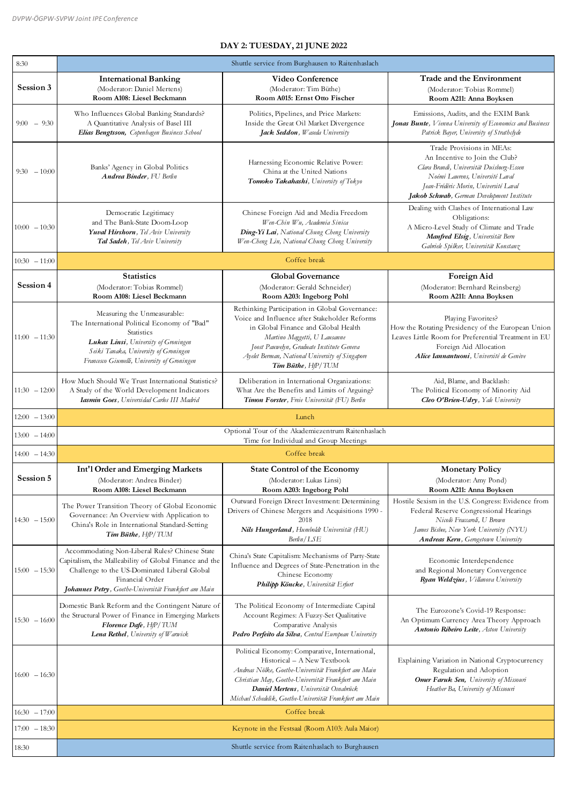| 8:30             | Shuttle service from Burghausen to Raitenhaslach                                                                                                                                                                                    |                                                                                                                                                                                                                                                                                              |                                                                                                                                                                                                                                   |
|------------------|-------------------------------------------------------------------------------------------------------------------------------------------------------------------------------------------------------------------------------------|----------------------------------------------------------------------------------------------------------------------------------------------------------------------------------------------------------------------------------------------------------------------------------------------|-----------------------------------------------------------------------------------------------------------------------------------------------------------------------------------------------------------------------------------|
| Session 3        | <b>International Banking</b><br>(Moderator: Daniel Mertens)<br>Room A108: Liesel Beckmann                                                                                                                                           | <b>Video Conference</b><br>(Moderator: Tim Büthe)<br>Room A015: Ernst Otto Fischer                                                                                                                                                                                                           | Trade and the Environment<br>(Moderator: Tobias Rommel)<br>Room A211: Anna Boyksen                                                                                                                                                |
| $9:00 - 9:30$    | Who Influences Global Banking Standards?<br>A Quantitative Analysis of Basel III<br>Elias Bengtsson, Copenhagen Business School                                                                                                     | Politics, Pipelines, and Price Markets:<br>Inside the Great Oil Market Divergence<br>Jack Seddon, Waseda University                                                                                                                                                                          | Emissions, Audits, and the EXIM Bank<br>Jonas Bunte, Vienna University of Economics and Business<br>Patrick Bayer, University of Strathclyde                                                                                      |
| $9:30 - 10:00$   | Banks' Agency in Global Politics<br>Andrea Binder, FU Berlin                                                                                                                                                                        | Harnessing Economic Relative Power:<br>China at the United Nations<br>Tomoko Takahashi, University of Tokyo                                                                                                                                                                                  | Trade Provisions in MEAs:<br>An Incentive to Join the Club?<br>Clara Brandi, Universität Duisburg-Essen<br>Noémi Laurens, Université Laval<br>Jean-Frédéric Morin, Université Laval<br>Jakob Schwab, German Development Institute |
| $10:00 - 10:30$  | Democratic Legitimacy<br>and The Bank-State Doom-Loop<br>Yuval Hirshorn, Tel Aviv University<br>Tal Sadeh, Tel Aviv University                                                                                                      | Chinese Foreign Aid and Media Freedom<br>Wen-Chin Wu, Academia Sinica<br>Ding-Yi Lai, National Chung Cheng University<br>Wen-Cheng Lin, National Chung Cheng University                                                                                                                      | Dealing with Clashes of International Law<br>Obligations:<br>A Micro-Level Study of Climate and Trade<br>Manfred Elsig, Universität Bern<br>Gabriele Spilker, Universität Konstanz                                                |
| $10:30 - 11:00$  |                                                                                                                                                                                                                                     | Coffee break                                                                                                                                                                                                                                                                                 |                                                                                                                                                                                                                                   |
| Session 4        | <b>Statistics</b><br>(Moderator: Tobias Rommel)<br>Room A108: Liesel Beckmann                                                                                                                                                       | <b>Global Governance</b><br>(Moderator: Gerald Schneider)<br>Room A203: Ingeborg Pohl                                                                                                                                                                                                        | Foreign Aid<br>(Moderator: Bernhard Reinsberg)<br>Room A211: Anna Boyksen                                                                                                                                                         |
| $11:00 - 11:30$  | Measuring the Unmeasurable:<br>The International Political Economy of "Bad"<br>Statistics<br>Lukas Linsi, University of Groningen<br>Seiki Tanaka, University of Groningen<br>Francesco Giumelli, University of Groningen           | Rethinking Participation in Global Governance:<br>Voice and Influence after Stakeholder Reforms<br>in Global Finance and Global Health<br>Martino Maggetti, U Lausanne<br>Joost Pauwelyn, Graduate Institute Geneva<br>Ayelet Berman, National University of Singapore<br>Tim Büthe, HfP/TUM | Playing Favorites?<br>How the Rotating Presidency of the European Union<br>Leaves Little Room for Preferential Treatment in EU<br>Foreign Aid Allocation<br>Alice Iannantuoni, Université de Genève                               |
| $11:30 - 12:00$  | How Much Should We Trust International Statistics?<br>A Study of the World Development Indicators<br>Iasmin Goes, Universidad Carlos III Madrid                                                                                     | Deliberation in International Organizations:<br>What Are the Benefits and Limits of Arguing?<br>Timon Forster, Freie Universität (FU) Berlin                                                                                                                                                 | Aid, Blame, and Backlash:<br>The Political Economy of Minority Aid<br>Cleo O'Brien-Udry, Yale University                                                                                                                          |
| $12:00 - 13:00$  |                                                                                                                                                                                                                                     | Lunch                                                                                                                                                                                                                                                                                        |                                                                                                                                                                                                                                   |
| $13:00 - 14:00$  |                                                                                                                                                                                                                                     | Optional Tour of the Akademiezentrum Raitenhaslach<br>Time for Individual and Group Meetings                                                                                                                                                                                                 |                                                                                                                                                                                                                                   |
| $14:00 - 14:30$  |                                                                                                                                                                                                                                     | Coffee break                                                                                                                                                                                                                                                                                 |                                                                                                                                                                                                                                   |
| <b>Session 5</b> | <b>Int'l Order and Emerging Markets</b><br>(Moderator: Andrea Binder)<br>Room A108: Liesel Beckmann                                                                                                                                 | <b>State Control of the Economy</b><br>(Moderator: Lukas Linsi)<br>Room A203: Ingeborg Pohl                                                                                                                                                                                                  | <b>Monetary Policy</b><br>(Moderator: Amy Pond)<br>Room A211: Anna Boyksen                                                                                                                                                        |
| $14:30 - 15:00$  | The Power Transition Theory of Global Economic<br>Governance: An Overview with Application to<br>China's Role in International Standard-Setting<br>Tim Büthe, HfP/TUM                                                               | Outward Foreign Direct Investment: Determining<br>Drivers of Chinese Mergers and Acquisitions 1990 -<br>2018<br>Nils Hungerland, Humboldt Universität (HU)<br>$\textit{Berlin}/\textit{LSE}$                                                                                                 | Hostile Sexism in the U.S. Congress: Evidence from<br>Federal Reserve Congressional Hearings<br>Nicolò Fraccaroli, U Brown<br>James Bisbee, New York University (NYU)<br><b>Andreas Kern</b> , Gerogetown University              |
| $15:00 - 15:30$  | Accommodating Non-Liberal Rules? Chinese State<br>Capitalism, the Malleability of Global Finance and the<br>Challenge to the US-Dominated Liberal Global<br>Financial Order<br>Johannes Petry, Goethe-Universität Frankfurt am Main | China's State Capitalism: Mechanisms of Party-State<br>Influence and Degrees of State-Penetration in the<br>Chinese Economy<br>Philipp Köncke, Universität Erfurt                                                                                                                            | Economic Interdependence<br>and Regional Monetary Convergence<br>Ryan Weldzius, Villanova University                                                                                                                              |
|                  |                                                                                                                                                                                                                                     |                                                                                                                                                                                                                                                                                              |                                                                                                                                                                                                                                   |

| $15:30 - 16:00$ | Domestic Bank Reform and the Contingent Nature of<br>the Structural Power of Finance in Emerging Markets<br>Florence Dafe, HfP/TUM<br>Lena Rethel, University of Warwick | The Political Economy of Intermediate Capital<br>Account Regimes: A Fuzzy-Set Qualitative<br>Comparative Analysis<br>Pedro Perfeito da Silva, Central European University                                                                                                                       | The Eurozone's Covid-19 Response:<br>An Optimum Currency Area Theory Approach<br><b>Antonio Ribeiro Leite</b> , Aston University                                  |
|-----------------|--------------------------------------------------------------------------------------------------------------------------------------------------------------------------|-------------------------------------------------------------------------------------------------------------------------------------------------------------------------------------------------------------------------------------------------------------------------------------------------|-------------------------------------------------------------------------------------------------------------------------------------------------------------------|
| $16:00 - 16:30$ |                                                                                                                                                                          | Political Economy: Comparative, International,<br>Historical – A New Textbook<br>Andreas Nölke, Goethe-Universität Frankfurt am Main<br>Christian May, Goethe-Universität Frankfurt am Main<br>Daniel Mertens, Universität Osnabrück<br>Michael Schedelik, Goethe-Universität Frankfurt am Main | Explaining Variation in National Cryptocurrency<br>Regulation and Adoption<br><b>Omer Faruk Sen, University of Missouri</b><br>Heather Ba, University of Missouri |
| $16:30 - 17:00$ |                                                                                                                                                                          | Coffee break                                                                                                                                                                                                                                                                                    |                                                                                                                                                                   |
| $17:00 - 18:30$ | Keynote in the Festsaal (Room A103: Aula Maior)                                                                                                                          |                                                                                                                                                                                                                                                                                                 |                                                                                                                                                                   |
| 18:30           | Shuttle service from Raitenhaslach to Burghausen                                                                                                                         |                                                                                                                                                                                                                                                                                                 |                                                                                                                                                                   |

## **DAY 2: TUESDAY, 21 JUNE 2022**